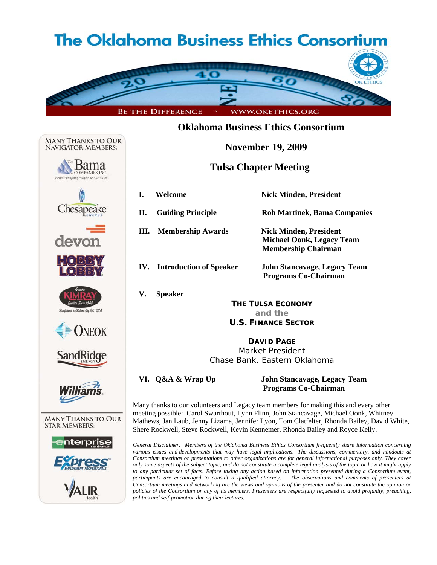# **The Oklahoma Business Ethics Consortium**



### **Oklahoma Business Ethics Consortium**

 **November 19, 2009** 

### **Tulsa Chapter Meeting**

Chesapeake devon **DNEOK** SandRidge **MANY THANKS TO OUR STAR MEMBERS:** 

**MANY THANKS TO OUR NAVIGATOR MEMBERS:** 

bama

|    | Welcome                            | <b>Nick Minden, President</b>                                                                   |  |
|----|------------------------------------|-------------------------------------------------------------------------------------------------|--|
| П. | <b>Guiding Principle</b>           | <b>Rob Martinek, Bama Companies</b>                                                             |  |
| Ш. | <b>Membership Awards</b>           | <b>Nick Minden, President</b><br><b>Michael Oonk, Legacy Team</b><br><b>Membership Chairman</b> |  |
|    | <b>IV.</b> Introduction of Speaker | John Stancavage, Legacy Team<br><b>Programs Co-Chairman</b>                                     |  |
| V. | <b>Speaker</b>                     |                                                                                                 |  |
|    | <b>THE TULSA ECONOMY</b>           |                                                                                                 |  |
|    | and the                            |                                                                                                 |  |

## **U.S. FINANCE SECTOR**

**DAVID PAGE** Market President Chase Bank, Eastern Oklahoma

 **VI. Q&A & Wrap Up John Stancavage, Legacy Team Programs Co-Chairman** 

Many thanks to our volunteers and Legacy team members for making this and every other meeting possible: Carol Swarthout, Lynn Flinn, John Stancavage, Michael Oonk, Whitney Mathews, Jan Laub, Jenny Lizama, Jennifer Lyon, Tom Clatfelter, Rhonda Bailey, David White, Shere Rockwell, Steve Rockwell, Kevin Kennemer, Rhonda Bailey and Royce Kelly.

*General Disclaimer: Members of the Oklahoma Business Ethics Consortium frequently share information concerning various issues and developments that may have legal implications. The discussions, commentary, and handouts at Consortium meetings or presentations to other organizations are for general informational purposes only. They cover only some aspects of the subject topic, and do not constitute a complete legal analysis of the topic or how it might apply to any particular set of facts. Before taking any action based on information presented during a Consortium event, participants are encouraged to consult a qualified attorney. The observations and comments of presenters at Consortium meetings and networking are the views and opinions of the presenter and do not constitute the opinion or policies of the Consortium or any of its members. Presenters are respectfully requested to avoid profanity, preaching, politics and self-promotion during their lectures.*